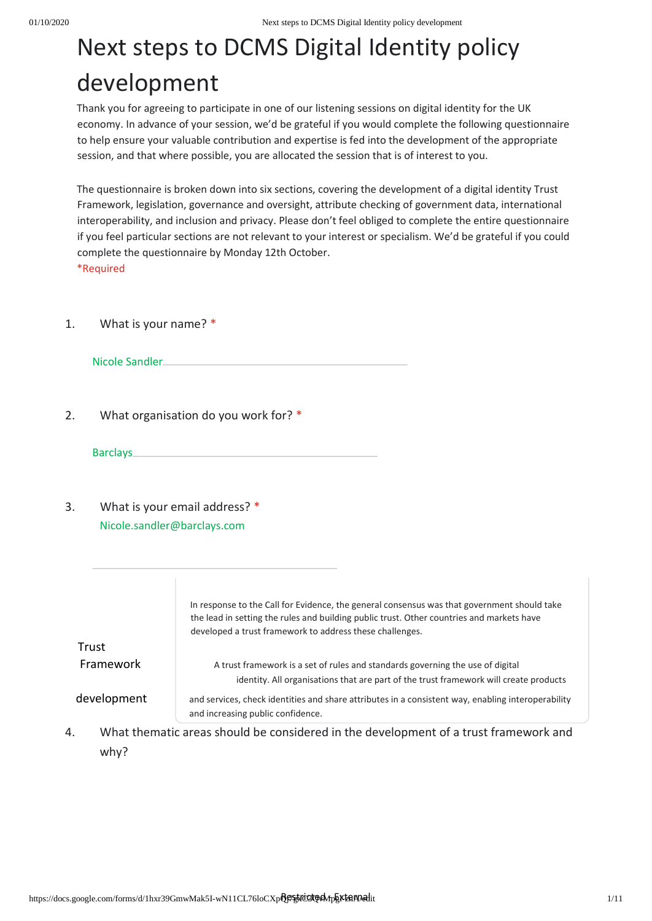Thank you for agreeing to participate in one of our listening sessions on digital identity for the UK economy. In advance of your session, we'd be grateful if you would complete the following questionnaire to help ensure your valuable contribution and expertise is fed into the development of the appropriate session, and that where possible, you are allocated the session that is of interest to you.

The questionnaire is broken down into six sections, covering the development of a digital identity Trust Framework, legislation, governance and oversight, attribute checking of government data, international interoperability, and inclusion and privacy. Please don't feel obliged to complete the entire questionnaire if you feel particular sections are not relevant to your interest or specialism. We'd be grateful if you could complete the questionnaire by Monday 12th October.

\*Required

1. What is your name? \*

Nicole Sandler

2. What organisation do you work for? \*

Barclays

3. What is your email address? \* Nicole.sandler@barclays.com

|             | In response to the Call for Evidence, the general consensus was that government should take<br>the lead in setting the rules and building public trust. Other countries and markets have<br>developed a trust framework to address these challenges. |
|-------------|------------------------------------------------------------------------------------------------------------------------------------------------------------------------------------------------------------------------------------------------------|
| Trust       |                                                                                                                                                                                                                                                      |
| Framework   | A trust framework is a set of rules and standards governing the use of digital<br>identity. All organisations that are part of the trust framework will create products                                                                              |
| development | and services, check identities and share attributes in a consistent way, enabling interoperability<br>and increasing public confidence.                                                                                                              |

4. What thematic areas should be considered in the development of a trust framework and why?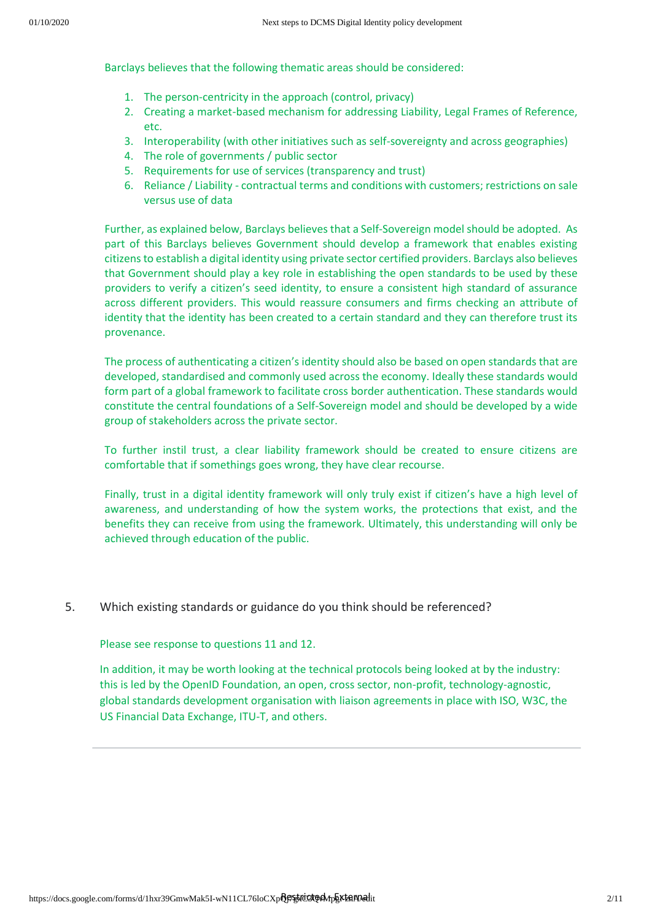Barclays believes that the following thematic areas should be considered:

- 1. The person-centricity in the approach (control, privacy)
- 2. Creating a market-based mechanism for addressing Liability, Legal Frames of Reference, etc.
- 3. Interoperability (with other initiatives such as self-sovereignty and across geographies)
- 4. The role of governments / public sector
- 5. Requirements for use of services (transparency and trust)
- 6. Reliance / Liability contractual terms and conditions with customers; restrictions on sale versus use of data

Further, as explained below, Barclays believes that a Self-Sovereign model should be adopted. As part of this Barclays believes Government should develop a framework that enables existing citizens to establish a digital identity using private sector certified providers. Barclays also believes that Government should play a key role in establishing the open standards to be used by these providers to verify a citizen's seed identity, to ensure a consistent high standard of assurance across different providers. This would reassure consumers and firms checking an attribute of identity that the identity has been created to a certain standard and they can therefore trust its provenance.

The process of authenticating a citizen's identity should also be based on open standards that are developed, standardised and commonly used across the economy. Ideally these standards would form part of a global framework to facilitate cross border authentication. These standards would constitute the central foundations of a Self-Sovereign model and should be developed by a wide group of stakeholders across the private sector.

To further instil trust, a clear liability framework should be created to ensure citizens are comfortable that if somethings goes wrong, they have clear recourse.

Finally, trust in a digital identity framework will only truly exist if citizen's have a high level of awareness, and understanding of how the system works, the protections that exist, and the benefits they can receive from using the framework. Ultimately, this understanding will only be achieved through education of the public.

## 5. Which existing standards or guidance do you think should be referenced?

Please see response to questions 11 and 12.

In addition, it may be worth looking at the technical protocols being looked at by the industry: this is led by the OpenID Foundation, an open, cross sector, non-profit, technology-agnostic, global standards development organisation with liaison agreements in place with ISO, W3C, the US Financial Data Exchange, ITU-T, and others.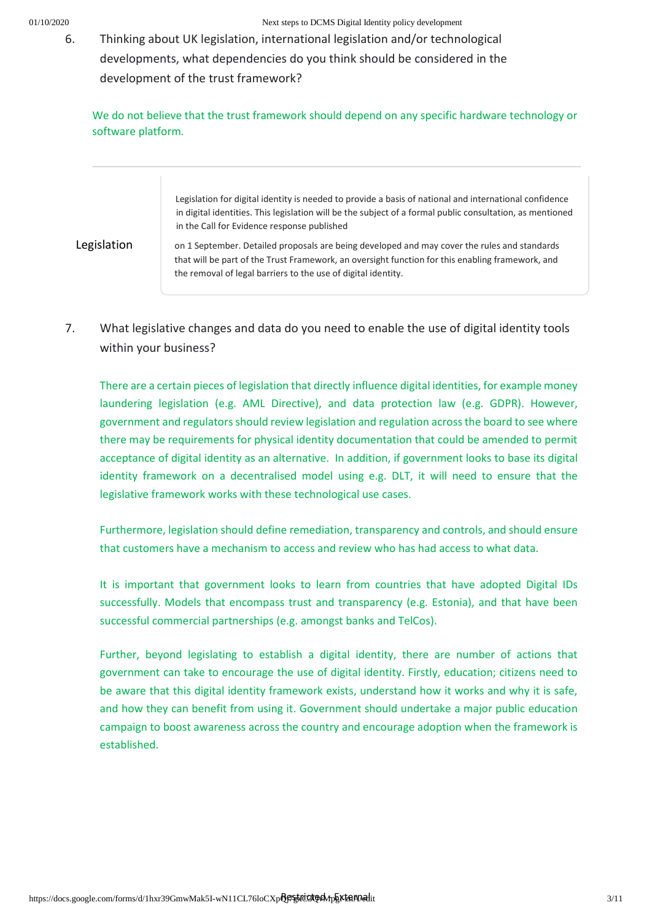6. Thinking about UK legislation, international legislation and/or technological developments, what dependencies do you think should be considered in the development of the trust framework?

We do not believe that the trust framework should depend on any specific hardware technology or software platform*.*

> Legislation for digital identity is needed to provide a basis of national and international confidence in digital identities. This legislation will be the subject of a formal public consultation, as mentioned in the Call for Evidence response published

Legislation **on 1** September. Detailed proposals are being developed and may cover the rules and standards that will be part of the Trust Framework, an oversight function for this enabling framework, and the removal of legal barriers to the use of digital identity.

7. What legislative changes and data do you need to enable the use of digital identity tools within your business?

There are a certain pieces of legislation that directly influence digital identities, for example money laundering legislation (e.g. AML Directive), and data protection law (e.g. GDPR). However, government and regulators should review legislation and regulation across the board to see where there may be requirements for physical identity documentation that could be amended to permit acceptance of digital identity as an alternative. In addition, if government looks to base its digital identity framework on a decentralised model using e.g. DLT, it will need to ensure that the legislative framework works with these technological use cases.

Furthermore, legislation should define remediation, transparency and controls, and should ensure that customers have a mechanism to access and review who has had access to what data.

It is important that government looks to learn from countries that have adopted Digital IDs successfully. Models that encompass trust and transparency (e.g. Estonia), and that have been successful commercial partnerships (e.g. amongst banks and TelCos).

Further, beyond legislating to establish a digital identity, there are number of actions that government can take to encourage the use of digital identity. Firstly, education; citizens need to be aware that this digital identity framework exists, understand how it works and why it is safe, and how they can benefit from using it. Government should undertake a major public education campaign to boost awareness across the country and encourage adoption when the framework is established.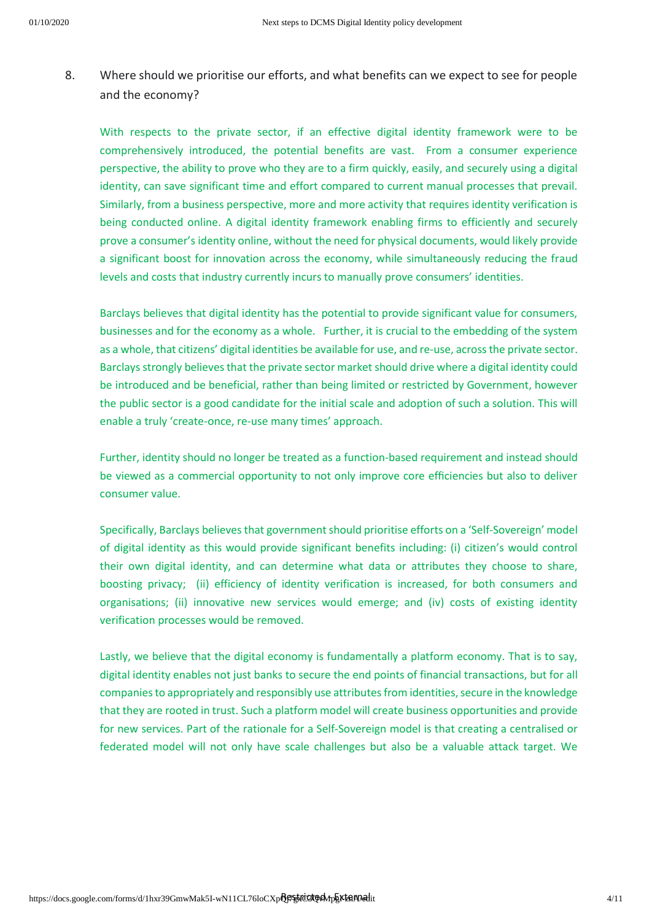8. Where should we prioritise our efforts, and what benefits can we expect to see for people and the economy?

With respects to the private sector, if an effective digital identity framework were to be comprehensively introduced, the potential benefits are vast. From a consumer experience perspective, the ability to prove who they are to a firm quickly, easily, and securely using a digital identity, can save significant time and effort compared to current manual processes that prevail. Similarly, from a business perspective, more and more activity that requires identity verification is being conducted online. A digital identity framework enabling firms to efficiently and securely prove a consumer's identity online, without the need for physical documents, would likely provide a significant boost for innovation across the economy, while simultaneously reducing the fraud levels and costs that industry currently incurs to manually prove consumers' identities.

Barclays believes that digital identity has the potential to provide significant value for consumers, businesses and for the economy as a whole. Further, it is crucial to the embedding of the system as a whole, that citizens' digital identities be available for use, and re-use, across the private sector. Barclays strongly believes that the private sector market should drive where a digital identity could be introduced and be beneficial, rather than being limited or restricted by Government, however the public sector is a good candidate for the initial scale and adoption of such a solution. This will enable a truly 'create-once, re-use many times' approach.

Further, identity should no longer be treated as a function-based requirement and instead should be viewed as a commercial opportunity to not only improve core efficiencies but also to deliver consumer value.

Specifically, Barclays believes that government should prioritise efforts on a 'Self-Sovereign' model of digital identity as this would provide significant benefits including: (i) citizen's would control their own digital identity, and can determine what data or attributes they choose to share, boosting privacy; (ii) efficiency of identity verification is increased, for both consumers and organisations; (ii) innovative new services would emerge; and (iv) costs of existing identity verification processes would be removed.

Lastly, we believe that the digital economy is fundamentally a platform economy. That is to say, digital identity enables not just banks to secure the end points of financial transactions, but for all companies to appropriately and responsibly use attributes from identities, secure in the knowledge that they are rooted in trust. Such a platform model will create business opportunities and provide for new services. Part of the rationale for a Self-Sovereign model is that creating a centralised or federated model will not only have scale challenges but also be a valuable attack target. We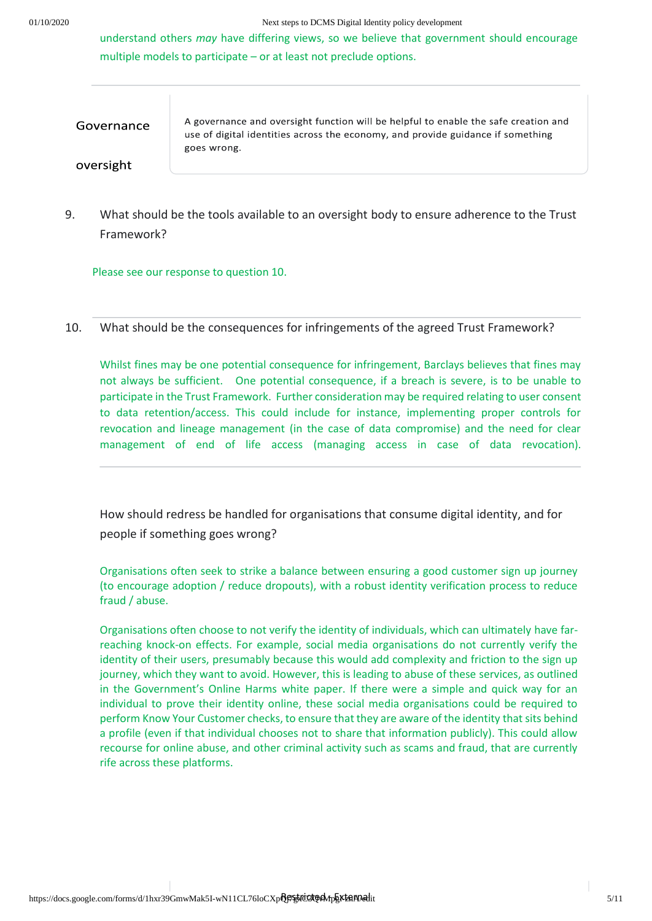understand others *may* have differing views, so we believe that government should encourage multiple models to participate – or at least not preclude options.

Governance

A governance and oversight function will be helpful to enable the safe creation and use of digital identities across the economy, and provide guidance if something goes wrong.

oversight

9. What should be the tools available to an oversight body to ensure adherence to the Trust Framework?

Please see our response to question 10.

10. What should be the consequences for infringements of the agreed Trust Framework?

Whilst fines may be one potential consequence for infringement, Barclays believes that fines may not always be sufficient. One potential consequence, if a breach is severe, is to be unable to participate in the Trust Framework. Further consideration may be required relating to user consent to data retention/access. This could include for instance, implementing proper controls for revocation and lineage management (in the case of data compromise) and the need for clear management of end of life access (managing access in case of data revocation).

How should redress be handled for organisations that consume digital identity, and for people if something goes wrong?

Organisations often seek to strike a balance between ensuring a good customer sign up journey (to encourage adoption / reduce dropouts), with a robust identity verification process to reduce fraud / abuse.

Organisations often choose to not verify the identity of individuals, which can ultimately have farreaching knock-on effects. For example, social media organisations do not currently verify the identity of their users, presumably because this would add complexity and friction to the sign up journey, which they want to avoid. However, this is leading to abuse of these services, as outlined in the Government's Online Harms white paper. If there were a simple and quick way for an individual to prove their identity online, these social media organisations could be required to perform Know Your Customer checks, to ensure that they are aware of the identity that sits behind a profile (even if that individual chooses not to share that information publicly). This could allow recourse for online abuse, and other criminal activity such as scams and fraud, that are currently rife across these platforms.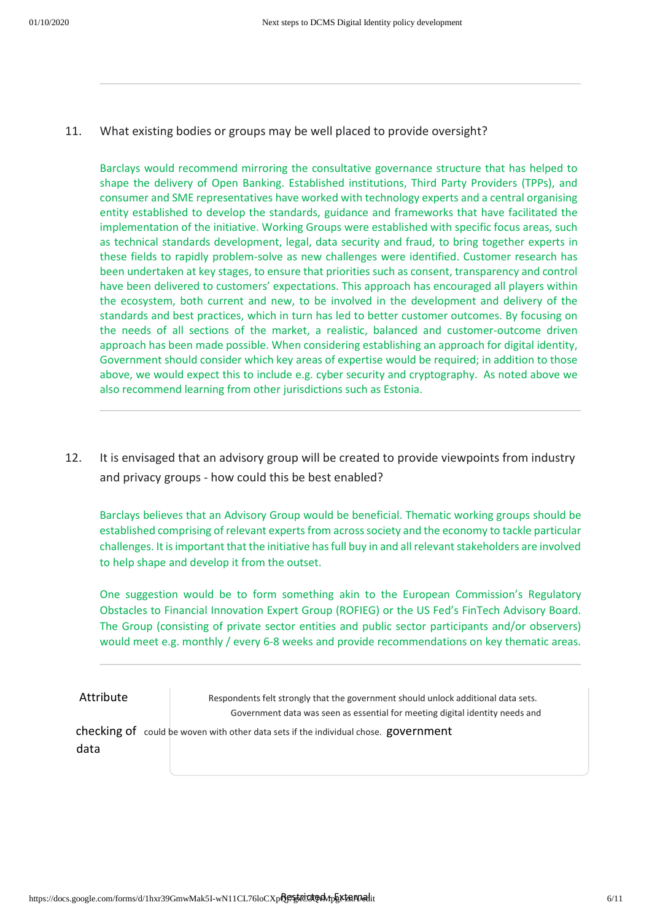11. What existing bodies or groups may be well placed to provide oversight?

Barclays would recommend mirroring the consultative governance structure that has helped to shape the delivery of Open Banking. Established institutions, Third Party Providers (TPPs), and consumer and SME representatives have worked with technology experts and a central organising entity established to develop the standards, guidance and frameworks that have facilitated the implementation of the initiative. Working Groups were established with specific focus areas, such as technical standards development, legal, data security and fraud, to bring together experts in these fields to rapidly problem-solve as new challenges were identified. Customer research has been undertaken at key stages, to ensure that priorities such as consent, transparency and control have been delivered to customers' expectations. This approach has encouraged all players within the ecosystem, both current and new, to be involved in the development and delivery of the standards and best practices, which in turn has led to better customer outcomes. By focusing on the needs of all sections of the market, a realistic, balanced and customer-outcome driven approach has been made possible. When considering establishing an approach for digital identity, Government should consider which key areas of expertise would be required; in addition to those above, we would expect this to include e.g. cyber security and cryptography. As noted above we also recommend learning from other jurisdictions such as Estonia.

12. It is envisaged that an advisory group will be created to provide viewpoints from industry and privacy groups - how could this be best enabled?

Barclays believes that an Advisory Group would be beneficial. Thematic working groups should be established comprising of relevant experts from across society and the economy to tackle particular challenges. It is important that the initiative has full buy in and all relevant stakeholders are involved to help shape and develop it from the outset.

One suggestion would be to form something akin to the European Commission's Regulatory Obstacles to Financial Innovation Expert Group (ROFIEG) or the US Fed's FinTech Advisory Board. The Group (consisting of private sector entities and public sector participants and/or observers) would meet e.g. monthly / every 6-8 weeks and provide recommendations on key thematic areas.

Attribute Respondents felt strongly that the government should unlock additional data sets. Government data was seen as essential for meeting digital identity needs and

checking of could be woven with other data sets if the individual chose. government data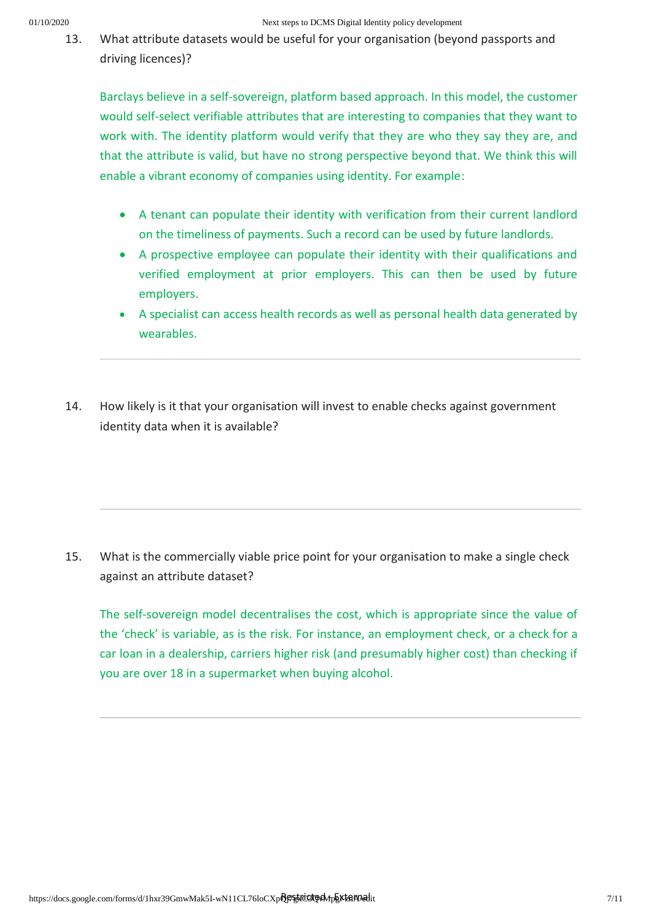13. What attribute datasets would be useful for your organisation (beyond passports and driving licences)?

Barclays believe in a self-sovereign, platform based approach. In this model, the customer would self-select verifiable attributes that are interesting to companies that they want to work with. The identity platform would verify that they are who they say they are, and that the attribute is valid, but have no strong perspective beyond that. We think this will enable a vibrant economy of companies using identity. For example:

- A tenant can populate their identity with verification from their current landlord on the timeliness of payments. Such a record can be used by future landlords.
- A prospective employee can populate their identity with their qualifications and verified employment at prior employers. This can then be used by future employers.
- A specialist can access health records as well as personal health data generated by wearables.
- 14. How likely is it that your organisation will invest to enable checks against government identity data when it is available?

15. What is the commercially viable price point for your organisation to make a single check against an attribute dataset?

The self-sovereign model decentralises the cost, which is appropriate since the value of the 'check' is variable, as is the risk. For instance, an employment check, or a check for a car loan in a dealership, carriers higher risk (and presumably higher cost) than checking if you are over 18 in a supermarket when buying alcohol.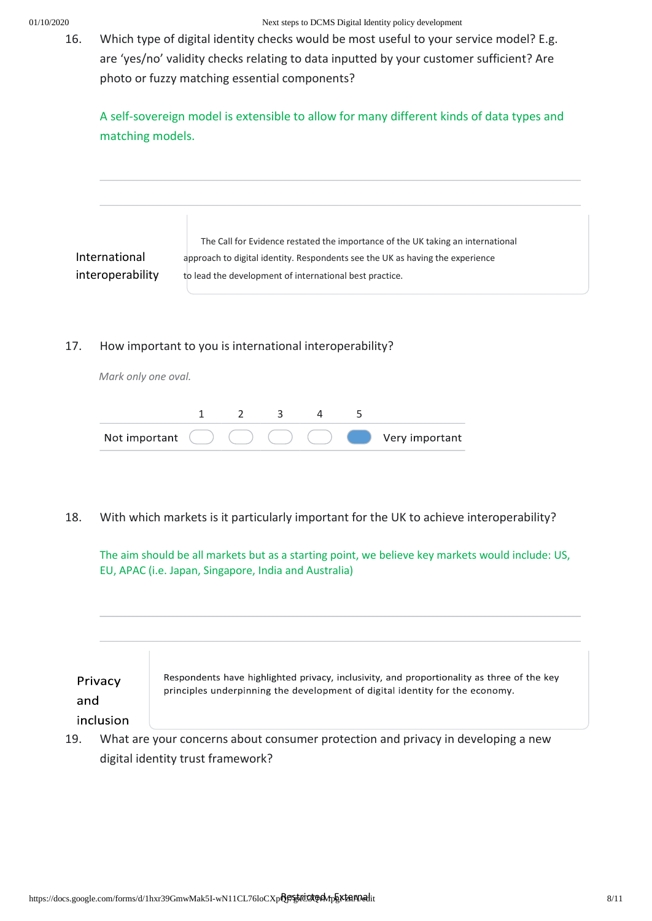16. Which type of digital identity checks would be most useful to your service model? E.g. are 'yes/no' validity checks relating to data inputted by your customer sufficient? Are photo or fuzzy matching essential components?

A self-sovereign model is extensible to allow for many different kinds of data types and matching models.

The Call for Evidence restated the importance of the UK taking an international International approach to digital identity. Respondents see the UK as having the experience interoperability to lead the development of international best practice.

# 17. How important to you is international interoperability?

*Mark only one oval.*



18. With which markets is it particularly important for the UK to achieve interoperability?

The aim should be all markets but as a starting point, we believe key markets would include: US, EU, APAC (i.e. Japan, Singapore, India and Australia)

| Privacy<br>and | Respondents have highlighted privacy, inclusivity, and proportionality as three of the key<br>principles underpinning the development of digital identity for the economy. |
|----------------|----------------------------------------------------------------------------------------------------------------------------------------------------------------------------|
| inclusion      |                                                                                                                                                                            |

19. What are your concerns about consumer protection and privacy in developing a new digital identity trust framework?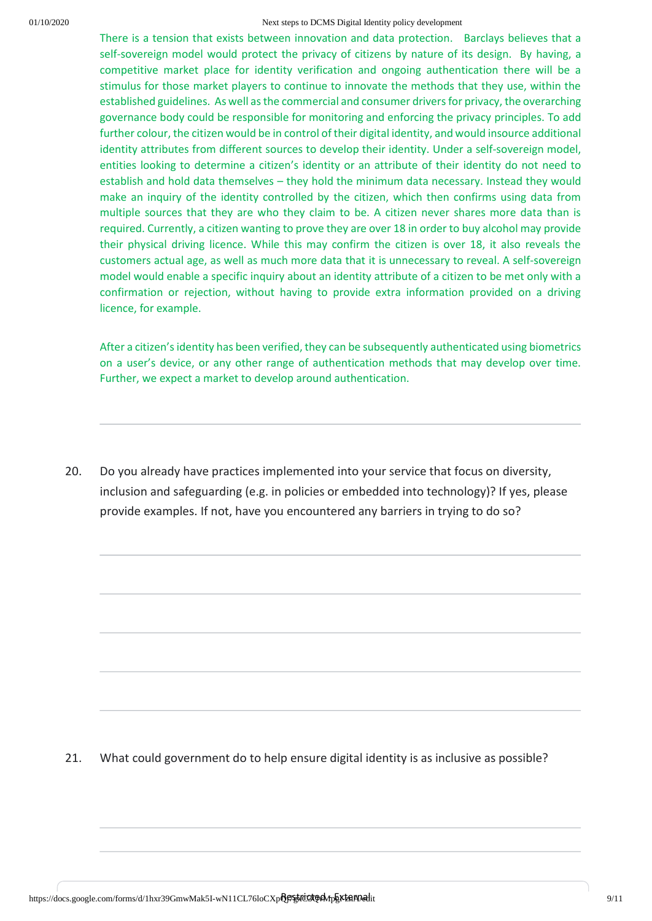There is a tension that exists between innovation and data protection. Barclays believes that a self-sovereign model would protect the privacy of citizens by nature of its design. By having, a competitive market place for identity verification and ongoing authentication there will be a stimulus for those market players to continue to innovate the methods that they use, within the established guidelines. As well as the commercial and consumer drivers for privacy, the overarching governance body could be responsible for monitoring and enforcing the privacy principles. To add further colour, the citizen would be in control of their digital identity, and would insource additional identity attributes from different sources to develop their identity. Under a self-sovereign model, entities looking to determine a citizen's identity or an attribute of their identity do not need to establish and hold data themselves – they hold the minimum data necessary. Instead they would make an inquiry of the identity controlled by the citizen, which then confirms using data from multiple sources that they are who they claim to be. A citizen never shares more data than is required. Currently, a citizen wanting to prove they are over 18 in order to buy alcohol may provide their physical driving licence. While this may confirm the citizen is over 18, it also reveals the customers actual age, as well as much more data that it is unnecessary to reveal. A self-sovereign model would enable a specific inquiry about an identity attribute of a citizen to be met only with a confirmation or rejection, without having to provide extra information provided on a driving licence, for example.

After a citizen's identity has been verified, they can be subsequently authenticated using biometrics on a user's device, or any other range of authentication methods that may develop over time. Further, we expect a market to develop around authentication.

20. Do you already have practices implemented into your service that focus on diversity, inclusion and safeguarding (e.g. in policies or embedded into technology)? If yes, please provide examples. If not, have you encountered any barriers in trying to do so?

21. What could government do to help ensure digital identity is as inclusive as possible?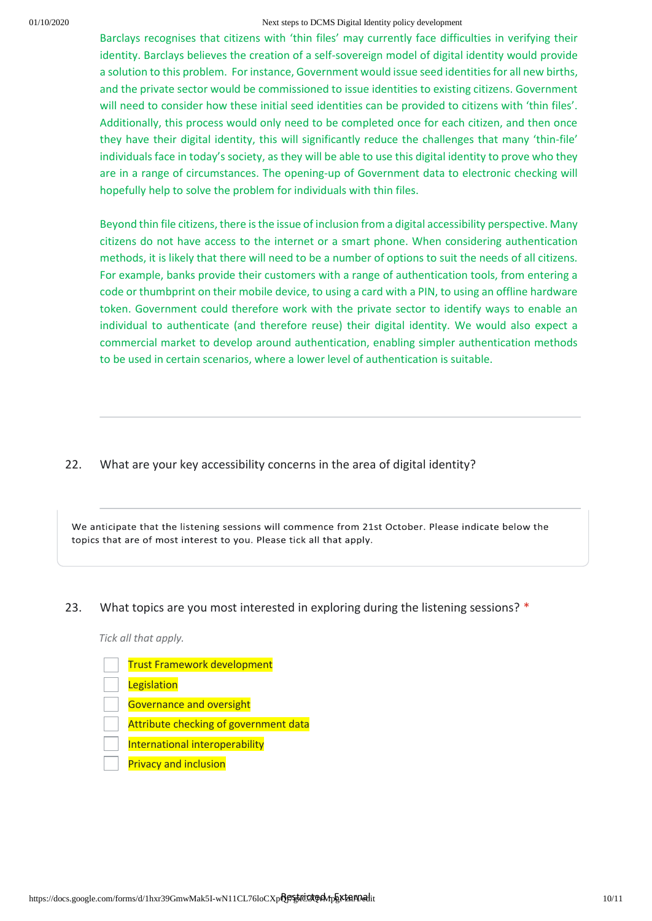Barclays recognises that citizens with 'thin files' may currently face difficulties in verifying their identity. Barclays believes the creation of a self-sovereign model of digital identity would provide a solution to this problem. For instance, Government would issue seed identities for all new births, and the private sector would be commissioned to issue identities to existing citizens. Government will need to consider how these initial seed identities can be provided to citizens with 'thin files'. Additionally, this process would only need to be completed once for each citizen, and then once they have their digital identity, this will significantly reduce the challenges that many 'thin-file' individuals face in today's society, as they will be able to use this digital identity to prove who they are in a range of circumstances. The opening-up of Government data to electronic checking will hopefully help to solve the problem for individuals with thin files.

Beyond thin file citizens, there is the issue of inclusion from a digital accessibility perspective. Many citizens do not have access to the internet or a smart phone. When considering authentication methods, it is likely that there will need to be a number of options to suit the needs of all citizens. For example, banks provide their customers with a range of authentication tools, from entering a code or thumbprint on their mobile device, to using a card with a PIN, to using an offline hardware token. Government could therefore work with the private sector to identify ways to enable an individual to authenticate (and therefore reuse) their digital identity. We would also expect a commercial market to develop around authentication, enabling simpler authentication methods to be used in certain scenarios, where a lower level of authentication is suitable.

22. What are your key accessibility concerns in the area of digital identity?

We anticipate that the listening sessions will commence from 21st October. Please indicate below the topics that are of most interest to you. Please tick all that apply.

### 23. What topics are you most interested in exploring during the listening sessions? \*

*Tick all that apply.*

Trust Framework development **Legislation** Governance and oversight Attribute checking of government data International interoperability Privacy and inclusion